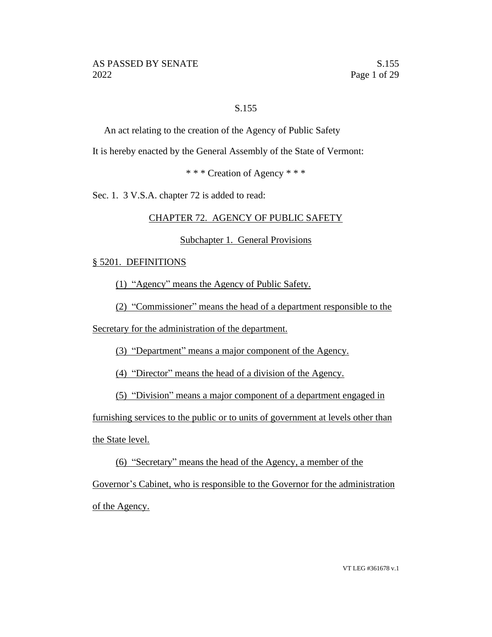# S.155

An act relating to the creation of the Agency of Public Safety

It is hereby enacted by the General Assembly of the State of Vermont:

\* \* \* Creation of Agency \* \* \*

Sec. 1. 3 V.S.A. chapter 72 is added to read:

# CHAPTER 72. AGENCY OF PUBLIC SAFETY

### Subchapter 1. General Provisions

# § 5201. DEFINITIONS

(1) "Agency" means the Agency of Public Safety.

(2) "Commissioner" means the head of a department responsible to the

Secretary for the administration of the department.

(3) "Department" means a major component of the Agency.

(4) "Director" means the head of a division of the Agency.

(5) "Division" means a major component of a department engaged in

furnishing services to the public or to units of government at levels other than

the State level.

(6) "Secretary" means the head of the Agency, a member of the

Governor's Cabinet, who is responsible to the Governor for the administration of the Agency.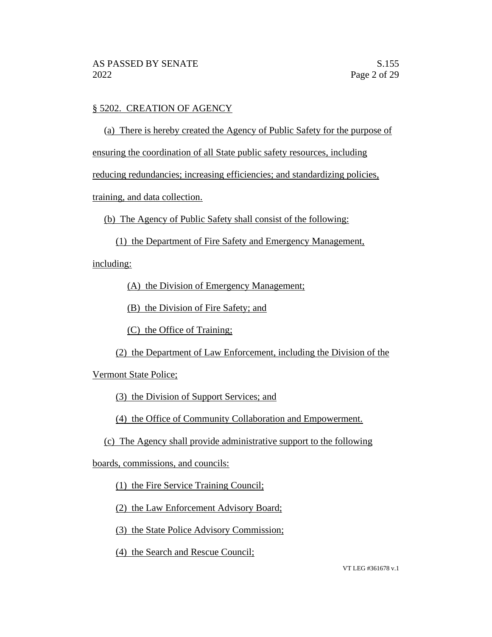# § 5202. CREATION OF AGENCY

(a) There is hereby created the Agency of Public Safety for the purpose of

ensuring the coordination of all State public safety resources, including

reducing redundancies; increasing efficiencies; and standardizing policies,

training, and data collection.

(b) The Agency of Public Safety shall consist of the following:

(1) the Department of Fire Safety and Emergency Management,

including:

(A) the Division of Emergency Management;

(B) the Division of Fire Safety; and

(C) the Office of Training;

(2) the Department of Law Enforcement, including the Division of the

Vermont State Police;

(3) the Division of Support Services; and

(4) the Office of Community Collaboration and Empowerment.

(c) The Agency shall provide administrative support to the following

boards, commissions, and councils:

(1) the Fire Service Training Council;

(2) the Law Enforcement Advisory Board;

(3) the State Police Advisory Commission;

(4) the Search and Rescue Council;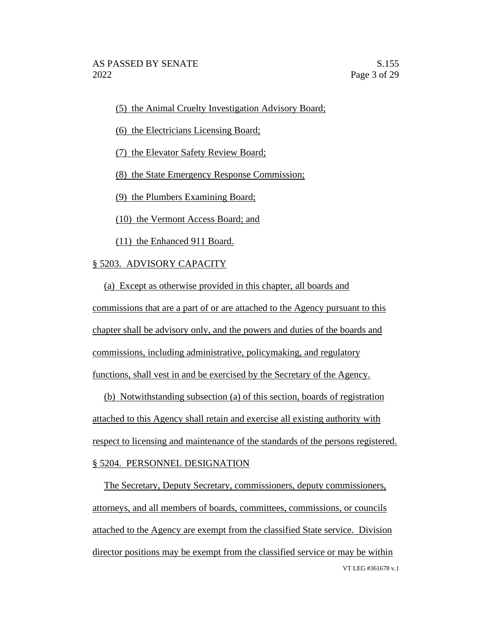(5) the Animal Cruelty Investigation Advisory Board;

(6) the Electricians Licensing Board;

(7) the Elevator Safety Review Board;

(8) the State Emergency Response Commission;

(9) the Plumbers Examining Board;

(10) the Vermont Access Board; and

(11) the Enhanced 911 Board.

# § 5203. ADVISORY CAPACITY

(a) Except as otherwise provided in this chapter, all boards and commissions that are a part of or are attached to the Agency pursuant to this chapter shall be advisory only, and the powers and duties of the boards and commissions, including administrative, policymaking, and regulatory functions, shall vest in and be exercised by the Secretary of the Agency.

(b) Notwithstanding subsection (a) of this section, boards of registration attached to this Agency shall retain and exercise all existing authority with respect to licensing and maintenance of the standards of the persons registered. § 5204. PERSONNEL DESIGNATION

VT LEG #361678 v.1 The Secretary, Deputy Secretary, commissioners, deputy commissioners, attorneys, and all members of boards, committees, commissions, or councils attached to the Agency are exempt from the classified State service. Division director positions may be exempt from the classified service or may be within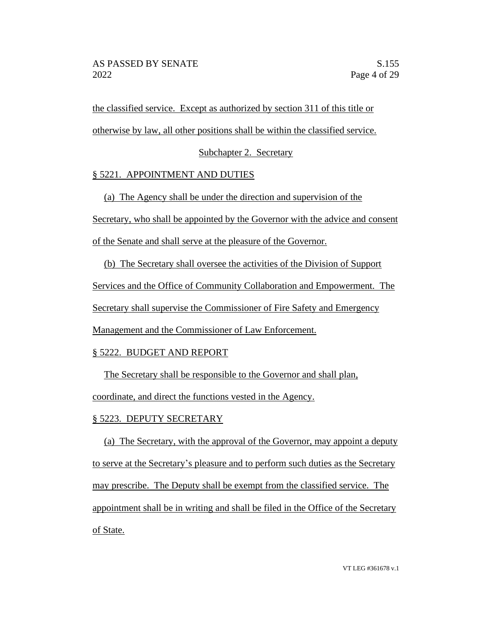the classified service. Except as authorized by section 311 of this title or

otherwise by law, all other positions shall be within the classified service.

# Subchapter 2. Secretary

# § 5221. APPOINTMENT AND DUTIES

(a) The Agency shall be under the direction and supervision of the

Secretary, who shall be appointed by the Governor with the advice and consent

of the Senate and shall serve at the pleasure of the Governor.

(b) The Secretary shall oversee the activities of the Division of Support

Services and the Office of Community Collaboration and Empowerment. The

Secretary shall supervise the Commissioner of Fire Safety and Emergency

Management and the Commissioner of Law Enforcement.

# § 5222. BUDGET AND REPORT

The Secretary shall be responsible to the Governor and shall plan,

coordinate, and direct the functions vested in the Agency.

# § 5223. DEPUTY SECRETARY

(a) The Secretary, with the approval of the Governor, may appoint a deputy to serve at the Secretary's pleasure and to perform such duties as the Secretary may prescribe. The Deputy shall be exempt from the classified service. The appointment shall be in writing and shall be filed in the Office of the Secretary of State.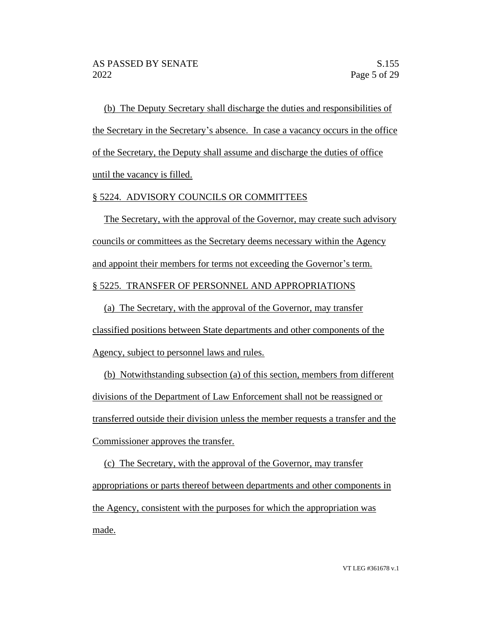(b) The Deputy Secretary shall discharge the duties and responsibilities of the Secretary in the Secretary's absence. In case a vacancy occurs in the office of the Secretary, the Deputy shall assume and discharge the duties of office until the vacancy is filled.

### § 5224. ADVISORY COUNCILS OR COMMITTEES

The Secretary, with the approval of the Governor, may create such advisory councils or committees as the Secretary deems necessary within the Agency and appoint their members for terms not exceeding the Governor's term. § 5225. TRANSFER OF PERSONNEL AND APPROPRIATIONS

(a) The Secretary, with the approval of the Governor, may transfer classified positions between State departments and other components of the Agency, subject to personnel laws and rules.

(b) Notwithstanding subsection (a) of this section, members from different divisions of the Department of Law Enforcement shall not be reassigned or transferred outside their division unless the member requests a transfer and the Commissioner approves the transfer.

(c) The Secretary, with the approval of the Governor, may transfer appropriations or parts thereof between departments and other components in the Agency, consistent with the purposes for which the appropriation was made.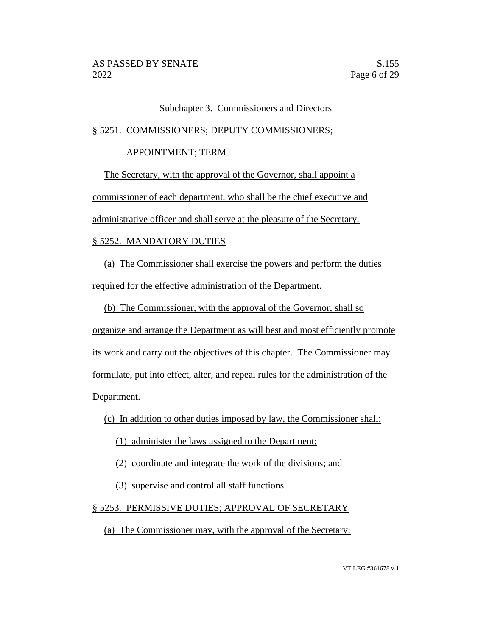### Subchapter 3. Commissioners and Directors

### § 5251. COMMISSIONERS; DEPUTY COMMISSIONERS;

### APPOINTMENT; TERM

The Secretary, with the approval of the Governor, shall appoint a commissioner of each department, who shall be the chief executive and administrative officer and shall serve at the pleasure of the Secretary.

# § 5252. MANDATORY DUTIES

(a) The Commissioner shall exercise the powers and perform the duties required for the effective administration of the Department.

(b) The Commissioner, with the approval of the Governor, shall so

organize and arrange the Department as will best and most efficiently promote its work and carry out the objectives of this chapter. The Commissioner may formulate, put into effect, alter, and repeal rules for the administration of the Department.

(c) In addition to other duties imposed by law, the Commissioner shall:

(1) administer the laws assigned to the Department;

(2) coordinate and integrate the work of the divisions; and

(3) supervise and control all staff functions.

# § 5253. PERMISSIVE DUTIES; APPROVAL OF SECRETARY

(a) The Commissioner may, with the approval of the Secretary: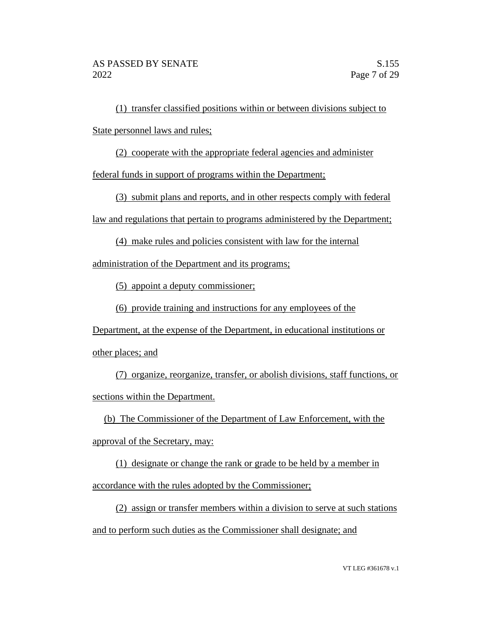(1) transfer classified positions within or between divisions subject to State personnel laws and rules;

(2) cooperate with the appropriate federal agencies and administer

federal funds in support of programs within the Department;

(3) submit plans and reports, and in other respects comply with federal

law and regulations that pertain to programs administered by the Department;

(4) make rules and policies consistent with law for the internal

administration of the Department and its programs;

(5) appoint a deputy commissioner;

(6) provide training and instructions for any employees of the

Department, at the expense of the Department, in educational institutions or other places; and

(7) organize, reorganize, transfer, or abolish divisions, staff functions, or sections within the Department.

(b) The Commissioner of the Department of Law Enforcement, with the

approval of the Secretary, may:

(1) designate or change the rank or grade to be held by a member in accordance with the rules adopted by the Commissioner;

(2) assign or transfer members within a division to serve at such stations and to perform such duties as the Commissioner shall designate; and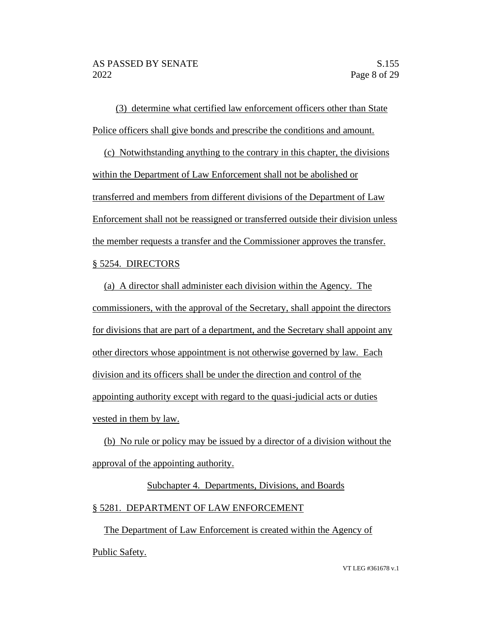(3) determine what certified law enforcement officers other than State Police officers shall give bonds and prescribe the conditions and amount.

(c) Notwithstanding anything to the contrary in this chapter, the divisions within the Department of Law Enforcement shall not be abolished or transferred and members from different divisions of the Department of Law Enforcement shall not be reassigned or transferred outside their division unless the member requests a transfer and the Commissioner approves the transfer. § 5254. DIRECTORS

(a) A director shall administer each division within the Agency. The commissioners, with the approval of the Secretary, shall appoint the directors for divisions that are part of a department, and the Secretary shall appoint any other directors whose appointment is not otherwise governed by law. Each division and its officers shall be under the direction and control of the appointing authority except with regard to the quasi-judicial acts or duties vested in them by law.

(b) No rule or policy may be issued by a director of a division without the approval of the appointing authority.

# Subchapter 4. Departments, Divisions, and Boards § 5281. DEPARTMENT OF LAW ENFORCEMENT

The Department of Law Enforcement is created within the Agency of Public Safety.

VT LEG #361678 v.1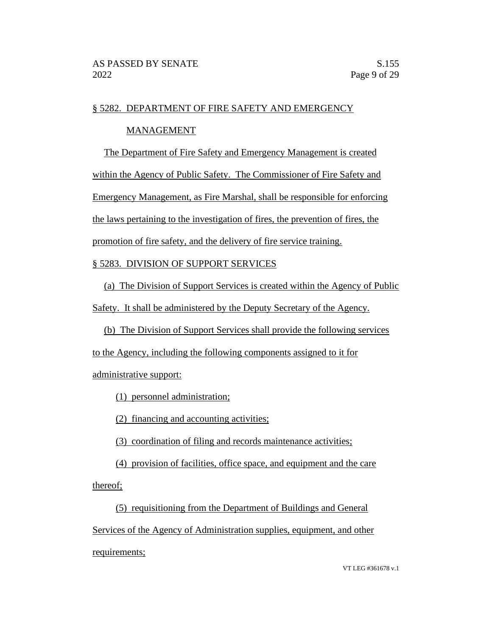# § 5282. DEPARTMENT OF FIRE SAFETY AND EMERGENCY

# MANAGEMENT

The Department of Fire Safety and Emergency Management is created

within the Agency of Public Safety. The Commissioner of Fire Safety and

Emergency Management, as Fire Marshal, shall be responsible for enforcing

the laws pertaining to the investigation of fires, the prevention of fires, the

promotion of fire safety, and the delivery of fire service training.

# § 5283. DIVISION OF SUPPORT SERVICES

(a) The Division of Support Services is created within the Agency of Public

Safety. It shall be administered by the Deputy Secretary of the Agency.

(b) The Division of Support Services shall provide the following services

to the Agency, including the following components assigned to it for

administrative support:

(1) personnel administration;

(2) financing and accounting activities;

(3) coordination of filing and records maintenance activities;

(4) provision of facilities, office space, and equipment and the care thereof;

(5) requisitioning from the Department of Buildings and General Services of the Agency of Administration supplies, equipment, and other requirements;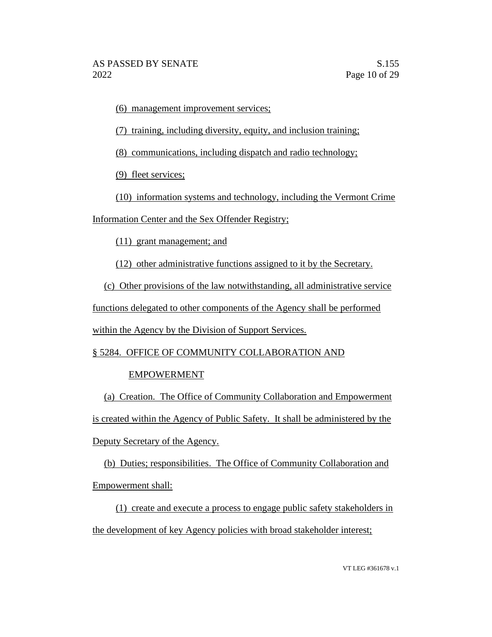(6) management improvement services;

(7) training, including diversity, equity, and inclusion training;

(8) communications, including dispatch and radio technology;

(9) fleet services;

(10) information systems and technology, including the Vermont Crime

Information Center and the Sex Offender Registry;

(11) grant management; and

(12) other administrative functions assigned to it by the Secretary.

(c) Other provisions of the law notwithstanding, all administrative service

functions delegated to other components of the Agency shall be performed

within the Agency by the Division of Support Services.

§ 5284. OFFICE OF COMMUNITY COLLABORATION AND

# EMPOWERMENT

(a) Creation. The Office of Community Collaboration and Empowerment is created within the Agency of Public Safety. It shall be administered by the Deputy Secretary of the Agency.

(b) Duties; responsibilities. The Office of Community Collaboration and Empowerment shall:

(1) create and execute a process to engage public safety stakeholders in the development of key Agency policies with broad stakeholder interest;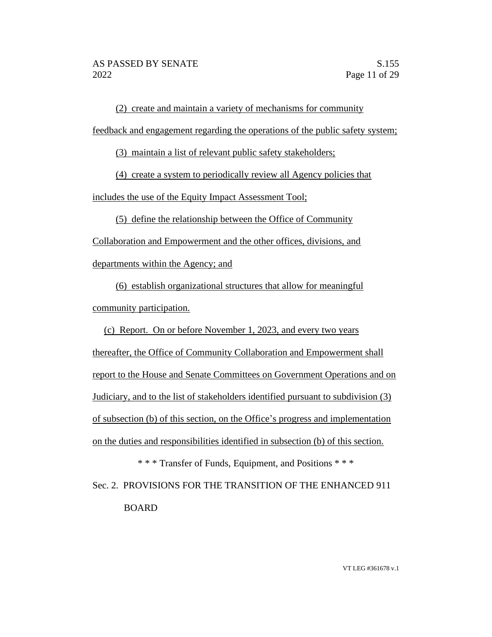(2) create and maintain a variety of mechanisms for community feedback and engagement regarding the operations of the public safety system;

(3) maintain a list of relevant public safety stakeholders;

(4) create a system to periodically review all Agency policies that

includes the use of the Equity Impact Assessment Tool;

(5) define the relationship between the Office of Community Collaboration and Empowerment and the other offices, divisions, and

departments within the Agency; and

(6) establish organizational structures that allow for meaningful community participation.

(c) Report. On or before November 1, 2023, and every two years

thereafter, the Office of Community Collaboration and Empowerment shall report to the House and Senate Committees on Government Operations and on Judiciary, and to the list of stakeholders identified pursuant to subdivision (3) of subsection (b) of this section, on the Office's progress and implementation on the duties and responsibilities identified in subsection (b) of this section.

\* \* \* Transfer of Funds, Equipment, and Positions \* \* \* Sec. 2. PROVISIONS FOR THE TRANSITION OF THE ENHANCED 911 BOARD

VT LEG #361678 v.1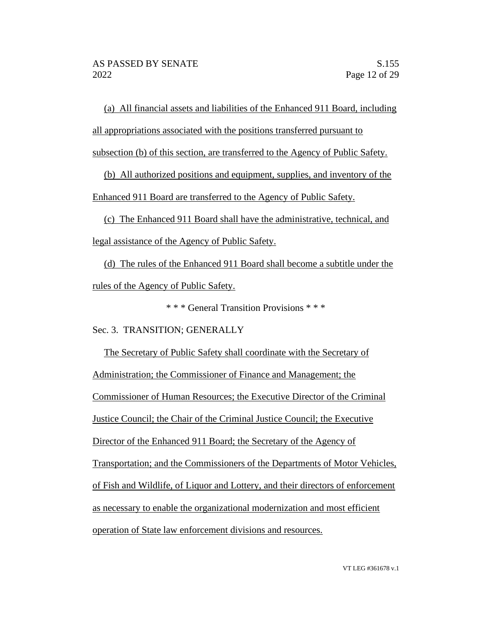(a) All financial assets and liabilities of the Enhanced 911 Board, including all appropriations associated with the positions transferred pursuant to

subsection (b) of this section, are transferred to the Agency of Public Safety.

(b) All authorized positions and equipment, supplies, and inventory of the Enhanced 911 Board are transferred to the Agency of Public Safety.

(c) The Enhanced 911 Board shall have the administrative, technical, and legal assistance of the Agency of Public Safety.

(d) The rules of the Enhanced 911 Board shall become a subtitle under the rules of the Agency of Public Safety.

\* \* \* General Transition Provisions \* \* \*

Sec. 3. TRANSITION; GENERALLY

The Secretary of Public Safety shall coordinate with the Secretary of Administration; the Commissioner of Finance and Management; the Commissioner of Human Resources; the Executive Director of the Criminal Justice Council; the Chair of the Criminal Justice Council; the Executive Director of the Enhanced 911 Board; the Secretary of the Agency of Transportation; and the Commissioners of the Departments of Motor Vehicles, of Fish and Wildlife, of Liquor and Lottery, and their directors of enforcement as necessary to enable the organizational modernization and most efficient operation of State law enforcement divisions and resources.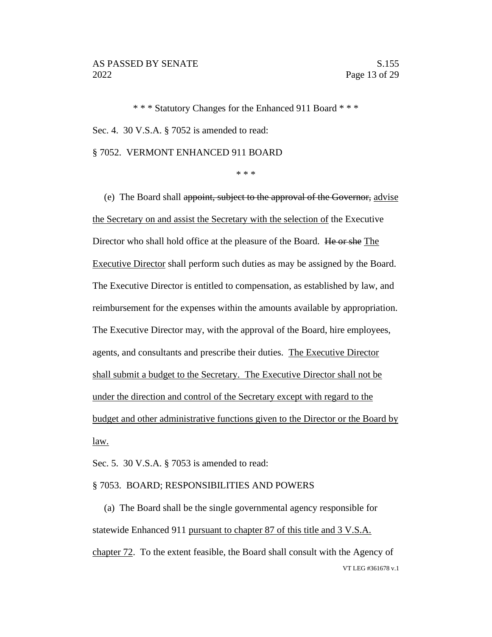\* \* \* Statutory Changes for the Enhanced 911 Board \* \* \* Sec. 4. 30 V.S.A. § 7052 is amended to read:

§ 7052. VERMONT ENHANCED 911 BOARD

\* \* \*

(e) The Board shall appoint, subject to the approval of the Governor, advise the Secretary on and assist the Secretary with the selection of the Executive Director who shall hold office at the pleasure of the Board. He or she The Executive Director shall perform such duties as may be assigned by the Board. The Executive Director is entitled to compensation, as established by law, and reimbursement for the expenses within the amounts available by appropriation. The Executive Director may, with the approval of the Board, hire employees, agents, and consultants and prescribe their duties. The Executive Director shall submit a budget to the Secretary. The Executive Director shall not be under the direction and control of the Secretary except with regard to the budget and other administrative functions given to the Director or the Board by law.

Sec. 5. 30 V.S.A. § 7053 is amended to read:

#### § 7053. BOARD; RESPONSIBILITIES AND POWERS

VT LEG #361678 v.1 (a) The Board shall be the single governmental agency responsible for statewide Enhanced 911 pursuant to chapter 87 of this title and 3 V.S.A. chapter 72. To the extent feasible, the Board shall consult with the Agency of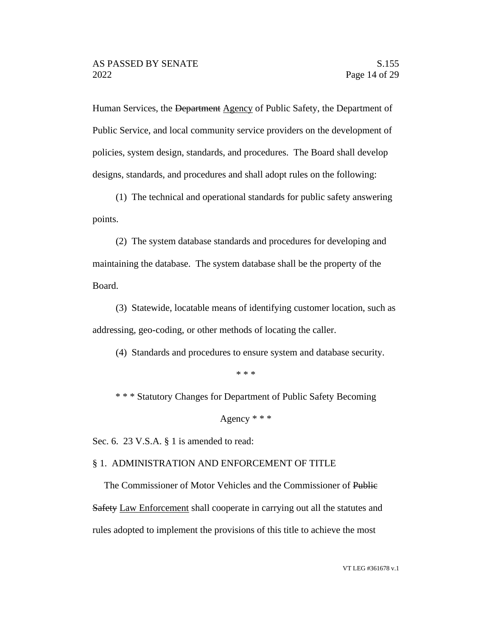Human Services, the Department Agency of Public Safety, the Department of Public Service, and local community service providers on the development of policies, system design, standards, and procedures. The Board shall develop designs, standards, and procedures and shall adopt rules on the following:

(1) The technical and operational standards for public safety answering points.

(2) The system database standards and procedures for developing and maintaining the database. The system database shall be the property of the Board.

(3) Statewide, locatable means of identifying customer location, such as addressing, geo-coding, or other methods of locating the caller.

(4) Standards and procedures to ensure system and database security.

\* \* \*

\* \* \* Statutory Changes for Department of Public Safety Becoming

```
Agency * * *
```
Sec. 6. 23 V.S.A. § 1 is amended to read:

### § 1. ADMINISTRATION AND ENFORCEMENT OF TITLE

The Commissioner of Motor Vehicles and the Commissioner of Public Safety Law Enforcement shall cooperate in carrying out all the statutes and rules adopted to implement the provisions of this title to achieve the most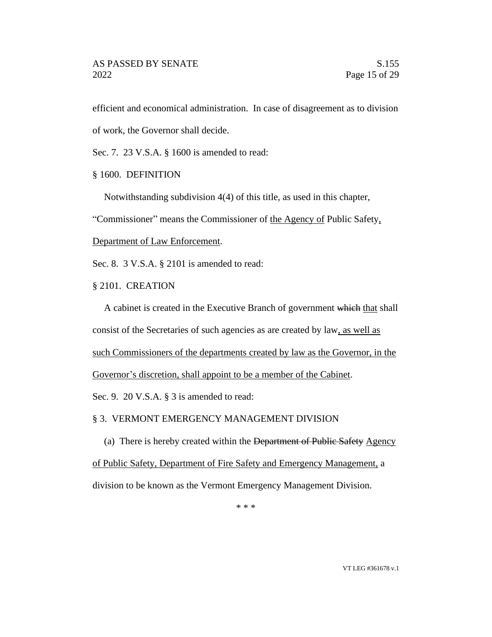efficient and economical administration. In case of disagreement as to division of work, the Governor shall decide.

Sec. 7. 23 V.S.A. § 1600 is amended to read:

§ 1600. DEFINITION

Notwithstanding subdivision 4(4) of this title, as used in this chapter,

"Commissioner" means the Commissioner of the Agency of Public Safety,

Department of Law Enforcement.

Sec. 8. 3 V.S.A. § 2101 is amended to read:

§ 2101. CREATION

A cabinet is created in the Executive Branch of government which that shall consist of the Secretaries of such agencies as are created by law, as well as such Commissioners of the departments created by law as the Governor, in the Governor's discretion, shall appoint to be a member of the Cabinet.

Sec. 9. 20 V.S.A. § 3 is amended to read:

§ 3. VERMONT EMERGENCY MANAGEMENT DIVISION

(a) There is hereby created within the Department of Public Safety Agency of Public Safety, Department of Fire Safety and Emergency Management, a division to be known as the Vermont Emergency Management Division.

\* \* \*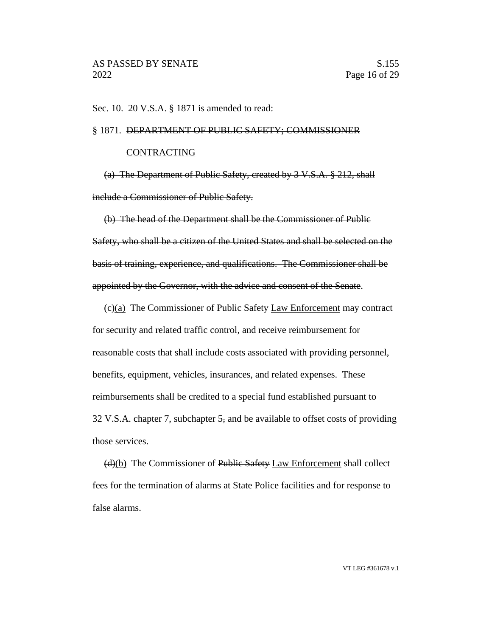Sec. 10. 20 V.S.A. § 1871 is amended to read:

#### § 1871. DEPARTMENT OF PUBLIC SAFETY; COMMISSIONER

#### CONTRACTING

(a) The Department of Public Safety, created by 3 V.S.A. § 212, shall include a Commissioner of Public Safety.

(b) The head of the Department shall be the Commissioner of Public Safety, who shall be a citizen of the United States and shall be selected on the basis of training, experience, and qualifications. The Commissioner shall be appointed by the Governor, with the advice and consent of the Senate.

(c)(a) The Commissioner of Public Safety Law Enforcement may contract for security and related traffic control, and receive reimbursement for reasonable costs that shall include costs associated with providing personnel, benefits, equipment, vehicles, insurances, and related expenses. These reimbursements shall be credited to a special fund established pursuant to 32 V.S.A. chapter 7, subchapter 5, and be available to offset costs of providing those services.

(d)(b) The Commissioner of Public Safety Law Enforcement shall collect fees for the termination of alarms at State Police facilities and for response to false alarms.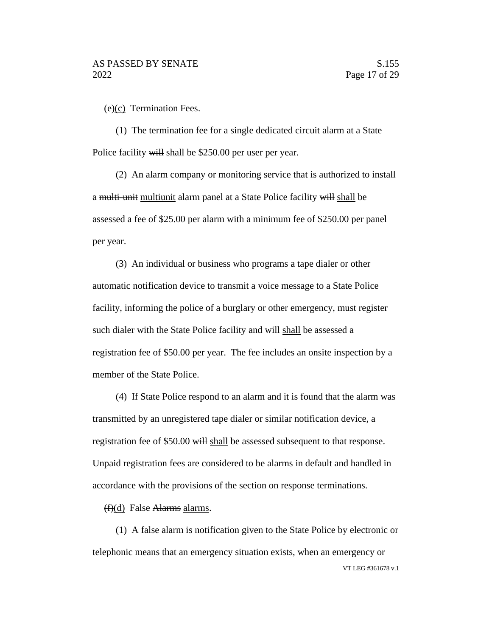$(e)(c)$  Termination Fees.

(1) The termination fee for a single dedicated circuit alarm at a State Police facility will shall be \$250.00 per user per year.

(2) An alarm company or monitoring service that is authorized to install a multi-unit multiunit alarm panel at a State Police facility will shall be assessed a fee of \$25.00 per alarm with a minimum fee of \$250.00 per panel per year.

(3) An individual or business who programs a tape dialer or other automatic notification device to transmit a voice message to a State Police facility, informing the police of a burglary or other emergency, must register such dialer with the State Police facility and will shall be assessed a registration fee of \$50.00 per year. The fee includes an onsite inspection by a member of the State Police.

(4) If State Police respond to an alarm and it is found that the alarm was transmitted by an unregistered tape dialer or similar notification device, a registration fee of \$50.00 will shall be assessed subsequent to that response. Unpaid registration fees are considered to be alarms in default and handled in accordance with the provisions of the section on response terminations.

(f)(d) False Alarms alarms.

VT LEG #361678 v.1 (1) A false alarm is notification given to the State Police by electronic or telephonic means that an emergency situation exists, when an emergency or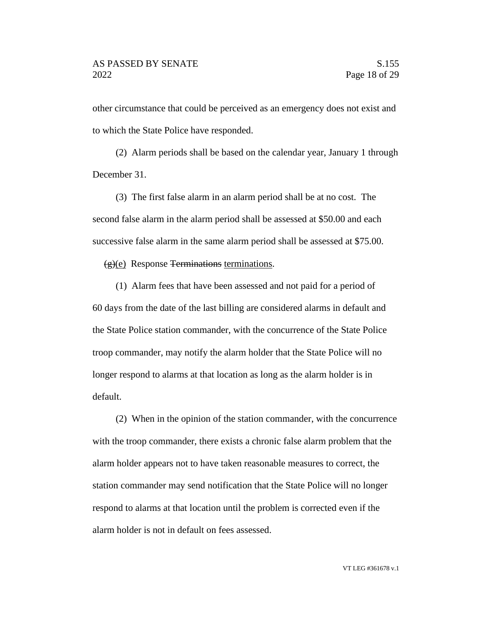other circumstance that could be perceived as an emergency does not exist and to which the State Police have responded.

(2) Alarm periods shall be based on the calendar year, January 1 through December 31.

(3) The first false alarm in an alarm period shall be at no cost. The second false alarm in the alarm period shall be assessed at \$50.00 and each successive false alarm in the same alarm period shall be assessed at \$75.00.

 $(g)(e)$  Response Terminations terminations.

(1) Alarm fees that have been assessed and not paid for a period of 60 days from the date of the last billing are considered alarms in default and the State Police station commander, with the concurrence of the State Police troop commander, may notify the alarm holder that the State Police will no longer respond to alarms at that location as long as the alarm holder is in default.

(2) When in the opinion of the station commander, with the concurrence with the troop commander, there exists a chronic false alarm problem that the alarm holder appears not to have taken reasonable measures to correct, the station commander may send notification that the State Police will no longer respond to alarms at that location until the problem is corrected even if the alarm holder is not in default on fees assessed.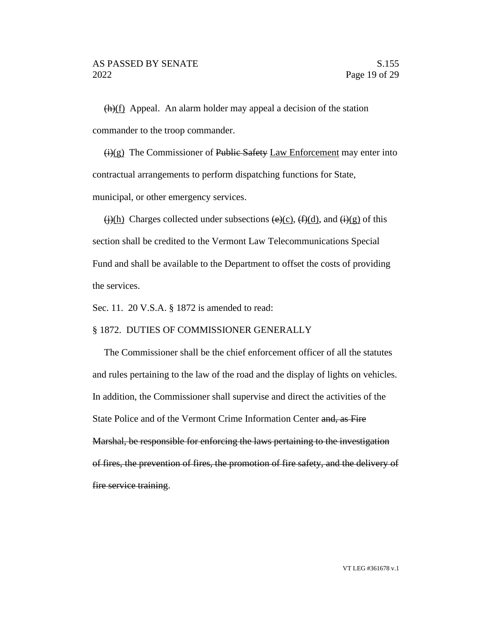$\frac{h(t)}{h}$  Appeal. An alarm holder may appeal a decision of the station commander to the troop commander.

 $\overline{(i)(g)}$  The Commissioner of Public Safety Law Enforcement may enter into contractual arrangements to perform dispatching functions for State, municipal, or other emergency services.

 $\frac{\pi}{2}$  Charges collected under subsections  $\frac{\pi}{2}$  (f)(d), and  $\frac{\pi}{2}$  of this section shall be credited to the Vermont Law Telecommunications Special Fund and shall be available to the Department to offset the costs of providing the services.

Sec. 11. 20 V.S.A. § 1872 is amended to read:

### § 1872. DUTIES OF COMMISSIONER GENERALLY

The Commissioner shall be the chief enforcement officer of all the statutes and rules pertaining to the law of the road and the display of lights on vehicles. In addition, the Commissioner shall supervise and direct the activities of the State Police and of the Vermont Crime Information Center and, as Fire Marshal, be responsible for enforcing the laws pertaining to the investigation of fires, the prevention of fires, the promotion of fire safety, and the delivery of fire service training.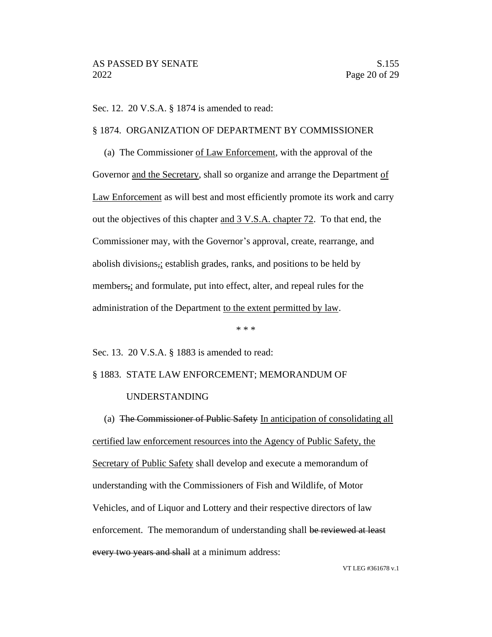Sec. 12. 20 V.S.A. § 1874 is amended to read:

### § 1874. ORGANIZATION OF DEPARTMENT BY COMMISSIONER

(a) The Commissioner of Law Enforcement, with the approval of the Governor and the Secretary, shall so organize and arrange the Department of Law Enforcement as will best and most efficiently promote its work and carry out the objectives of this chapter and 3 V.S.A. chapter 72. To that end, the Commissioner may, with the Governor's approval, create, rearrange, and abolish divisions,; establish grades, ranks, and positions to be held by members,; and formulate, put into effect, alter, and repeal rules for the administration of the Department to the extent permitted by law.

\* \* \*

Sec. 13. 20 V.S.A. § 1883 is amended to read:

### § 1883. STATE LAW ENFORCEMENT; MEMORANDUM OF

#### UNDERSTANDING

(a) The Commissioner of Public Safety In anticipation of consolidating all certified law enforcement resources into the Agency of Public Safety, the Secretary of Public Safety shall develop and execute a memorandum of understanding with the Commissioners of Fish and Wildlife, of Motor Vehicles, and of Liquor and Lottery and their respective directors of law enforcement. The memorandum of understanding shall be reviewed at least every two years and shall at a minimum address:

VT LEG #361678 v.1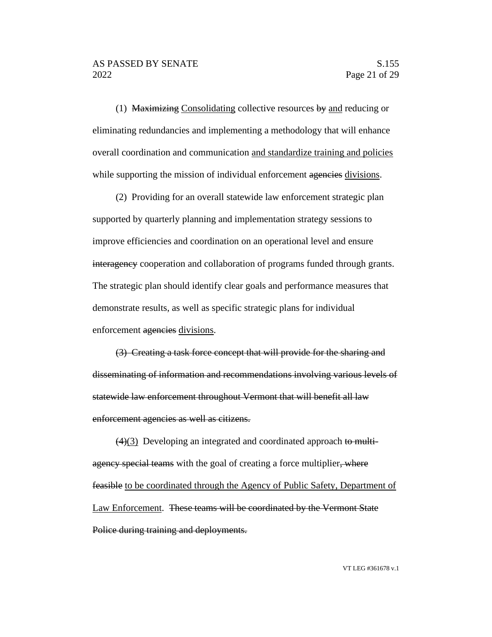(1) Maximizing Consolidating collective resources  $by$  and reducing or eliminating redundancies and implementing a methodology that will enhance overall coordination and communication and standardize training and policies while supporting the mission of individual enforcement agencies divisions.

(2) Providing for an overall statewide law enforcement strategic plan supported by quarterly planning and implementation strategy sessions to improve efficiencies and coordination on an operational level and ensure interagency cooperation and collaboration of programs funded through grants. The strategic plan should identify clear goals and performance measures that demonstrate results, as well as specific strategic plans for individual enforcement agencies divisions.

(3) Creating a task force concept that will provide for the sharing and disseminating of information and recommendations involving various levels of statewide law enforcement throughout Vermont that will benefit all law enforcement agencies as well as citizens.

 $\left(4\right)\left(3\right)$  Developing an integrated and coordinated approach to multiagency special teams with the goal of creating a force multiplier, where feasible to be coordinated through the Agency of Public Safety, Department of Law Enforcement. These teams will be coordinated by the Vermont State Police during training and deployments.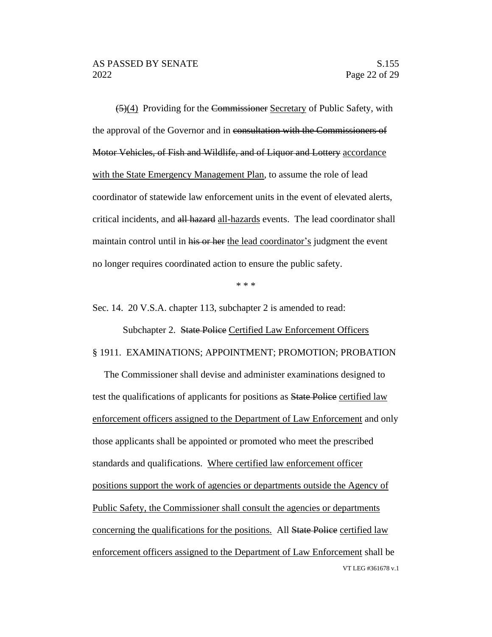(5)(4) Providing for the Commissioner Secretary of Public Safety, with the approval of the Governor and in consultation with the Commissioners of Motor Vehicles, of Fish and Wildlife, and of Liquor and Lottery accordance with the State Emergency Management Plan, to assume the role of lead coordinator of statewide law enforcement units in the event of elevated alerts, critical incidents, and all hazard all-hazards events. The lead coordinator shall maintain control until in his or her the lead coordinator's judgment the event no longer requires coordinated action to ensure the public safety.

\* \* \*

Sec. 14. 20 V.S.A. chapter 113, subchapter 2 is amended to read:

Subchapter 2. State Police Certified Law Enforcement Officers § 1911. EXAMINATIONS; APPOINTMENT; PROMOTION; PROBATION

VT LEG #361678 v.1 The Commissioner shall devise and administer examinations designed to test the qualifications of applicants for positions as **State Police** certified law enforcement officers assigned to the Department of Law Enforcement and only those applicants shall be appointed or promoted who meet the prescribed standards and qualifications. Where certified law enforcement officer positions support the work of agencies or departments outside the Agency of Public Safety, the Commissioner shall consult the agencies or departments concerning the qualifications for the positions. All State Police certified law enforcement officers assigned to the Department of Law Enforcement shall be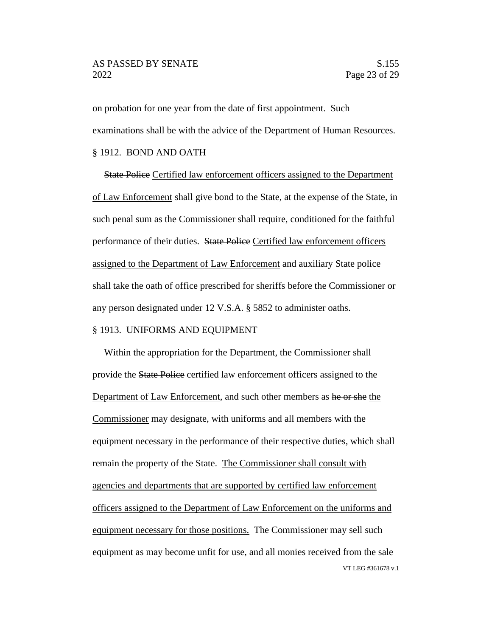### AS PASSED BY SENATE SALL SERVICES AND SALL SERVICES SALL SERVICES SALL SERVICES SALL SERVICES SALL SERVICES SA 2022 Page 23 of 29

on probation for one year from the date of first appointment. Such examinations shall be with the advice of the Department of Human Resources. § 1912. BOND AND OATH

State Police Certified law enforcement officers assigned to the Department of Law Enforcement shall give bond to the State, at the expense of the State, in such penal sum as the Commissioner shall require, conditioned for the faithful performance of their duties. State Police Certified law enforcement officers assigned to the Department of Law Enforcement and auxiliary State police shall take the oath of office prescribed for sheriffs before the Commissioner or any person designated under 12 V.S.A. § 5852 to administer oaths.

#### § 1913. UNIFORMS AND EQUIPMENT

VT LEG #361678 v.1 Within the appropriation for the Department, the Commissioner shall provide the State Police certified law enforcement officers assigned to the Department of Law Enforcement, and such other members as he or she the Commissioner may designate, with uniforms and all members with the equipment necessary in the performance of their respective duties, which shall remain the property of the State. The Commissioner shall consult with agencies and departments that are supported by certified law enforcement officers assigned to the Department of Law Enforcement on the uniforms and equipment necessary for those positions. The Commissioner may sell such equipment as may become unfit for use, and all monies received from the sale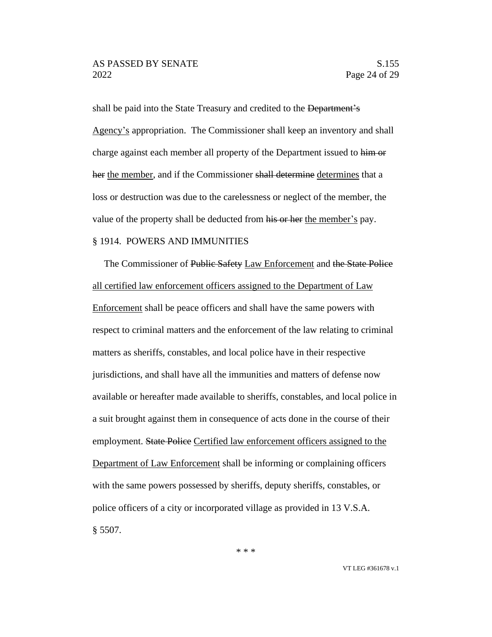shall be paid into the State Treasury and credited to the Department's Agency's appropriation. The Commissioner shall keep an inventory and shall charge against each member all property of the Department issued to him or her the member, and if the Commissioner shall determine determines that a loss or destruction was due to the carelessness or neglect of the member, the value of the property shall be deducted from his or her the member's pay.

# § 1914. POWERS AND IMMUNITIES

The Commissioner of Public Safety Law Enforcement and the State Police all certified law enforcement officers assigned to the Department of Law Enforcement shall be peace officers and shall have the same powers with respect to criminal matters and the enforcement of the law relating to criminal matters as sheriffs, constables, and local police have in their respective jurisdictions, and shall have all the immunities and matters of defense now available or hereafter made available to sheriffs, constables, and local police in a suit brought against them in consequence of acts done in the course of their employment. State Police Certified law enforcement officers assigned to the Department of Law Enforcement shall be informing or complaining officers with the same powers possessed by sheriffs, deputy sheriffs, constables, or police officers of a city or incorporated village as provided in 13 V.S.A. § 5507.

\* \* \*

VT LEG #361678 v.1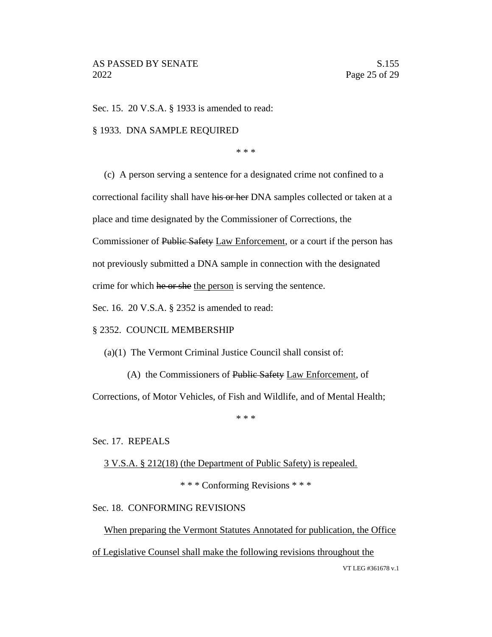Sec. 15. 20 V.S.A. § 1933 is amended to read:

### § 1933. DNA SAMPLE REQUIRED

\* \* \*

(c) A person serving a sentence for a designated crime not confined to a correctional facility shall have his or her DNA samples collected or taken at a place and time designated by the Commissioner of Corrections, the Commissioner of Public Safety Law Enforcement, or a court if the person has not previously submitted a DNA sample in connection with the designated crime for which he or she the person is serving the sentence.

Sec. 16. 20 V.S.A. § 2352 is amended to read:

### § 2352. COUNCIL MEMBERSHIP

(a)(1) The Vermont Criminal Justice Council shall consist of:

(A) the Commissioners of Public Safety Law Enforcement, of

Corrections, of Motor Vehicles, of Fish and Wildlife, and of Mental Health;

\* \* \*

#### Sec. 17. REPEALS

3 V.S.A. § 212(18) (the Department of Public Safety) is repealed.

\* \* \* Conforming Revisions \* \* \*

#### Sec. 18. CONFORMING REVISIONS

When preparing the Vermont Statutes Annotated for publication, the Office

of Legislative Counsel shall make the following revisions throughout the

VT LEG #361678 v.1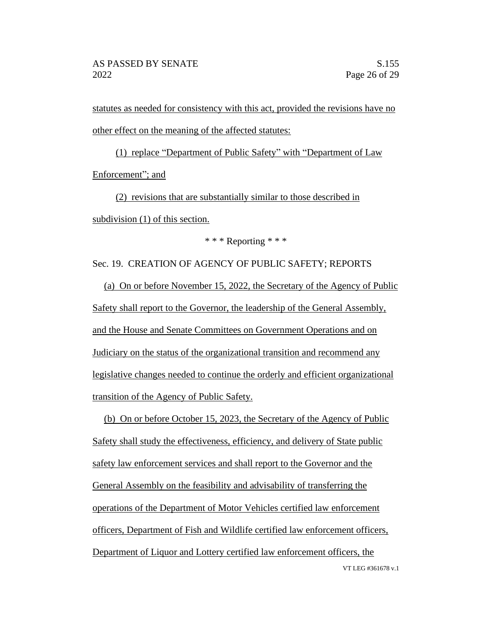statutes as needed for consistency with this act, provided the revisions have no other effect on the meaning of the affected statutes:

(1) replace "Department of Public Safety" with "Department of Law Enforcement"; and

(2) revisions that are substantially similar to those described in subdivision (1) of this section.

\* \* \* Reporting \* \* \*

Sec. 19. CREATION OF AGENCY OF PUBLIC SAFETY; REPORTS

(a) On or before November 15, 2022, the Secretary of the Agency of Public Safety shall report to the Governor, the leadership of the General Assembly, and the House and Senate Committees on Government Operations and on Judiciary on the status of the organizational transition and recommend any legislative changes needed to continue the orderly and efficient organizational transition of the Agency of Public Safety.

(b) On or before October 15, 2023, the Secretary of the Agency of Public Safety shall study the effectiveness, efficiency, and delivery of State public safety law enforcement services and shall report to the Governor and the General Assembly on the feasibility and advisability of transferring the operations of the Department of Motor Vehicles certified law enforcement officers, Department of Fish and Wildlife certified law enforcement officers, Department of Liquor and Lottery certified law enforcement officers, the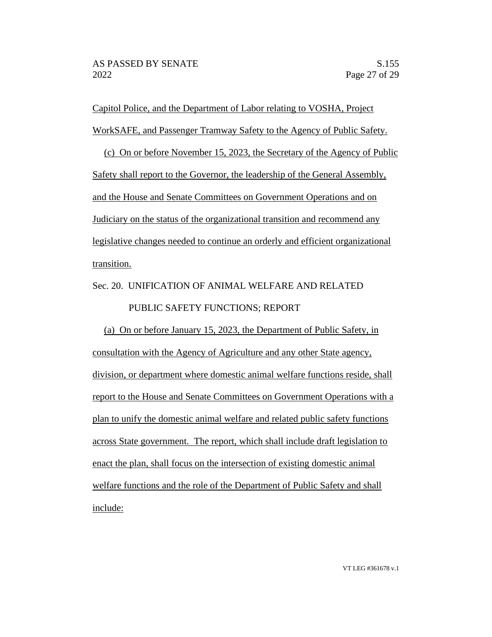Capitol Police, and the Department of Labor relating to VOSHA, Project WorkSAFE, and Passenger Tramway Safety to the Agency of Public Safety.

(c) On or before November 15, 2023, the Secretary of the Agency of Public Safety shall report to the Governor, the leadership of the General Assembly, and the House and Senate Committees on Government Operations and on Judiciary on the status of the organizational transition and recommend any legislative changes needed to continue an orderly and efficient organizational transition.

Sec. 20. UNIFICATION OF ANIMAL WELFARE AND RELATED PUBLIC SAFETY FUNCTIONS; REPORT

(a) On or before January 15, 2023, the Department of Public Safety, in consultation with the Agency of Agriculture and any other State agency, division, or department where domestic animal welfare functions reside, shall report to the House and Senate Committees on Government Operations with a plan to unify the domestic animal welfare and related public safety functions across State government. The report, which shall include draft legislation to enact the plan, shall focus on the intersection of existing domestic animal welfare functions and the role of the Department of Public Safety and shall include: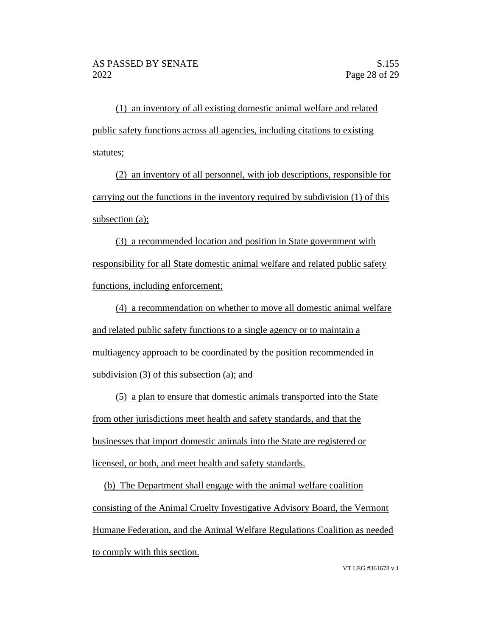(1) an inventory of all existing domestic animal welfare and related public safety functions across all agencies, including citations to existing statutes;

(2) an inventory of all personnel, with job descriptions, responsible for carrying out the functions in the inventory required by subdivision (1) of this subsection (a);

(3) a recommended location and position in State government with responsibility for all State domestic animal welfare and related public safety functions, including enforcement;

(4) a recommendation on whether to move all domestic animal welfare and related public safety functions to a single agency or to maintain a multiagency approach to be coordinated by the position recommended in subdivision (3) of this subsection (a); and

(5) a plan to ensure that domestic animals transported into the State from other jurisdictions meet health and safety standards, and that the businesses that import domestic animals into the State are registered or licensed, or both, and meet health and safety standards.

(b) The Department shall engage with the animal welfare coalition consisting of the Animal Cruelty Investigative Advisory Board, the Vermont Humane Federation, and the Animal Welfare Regulations Coalition as needed to comply with this section.